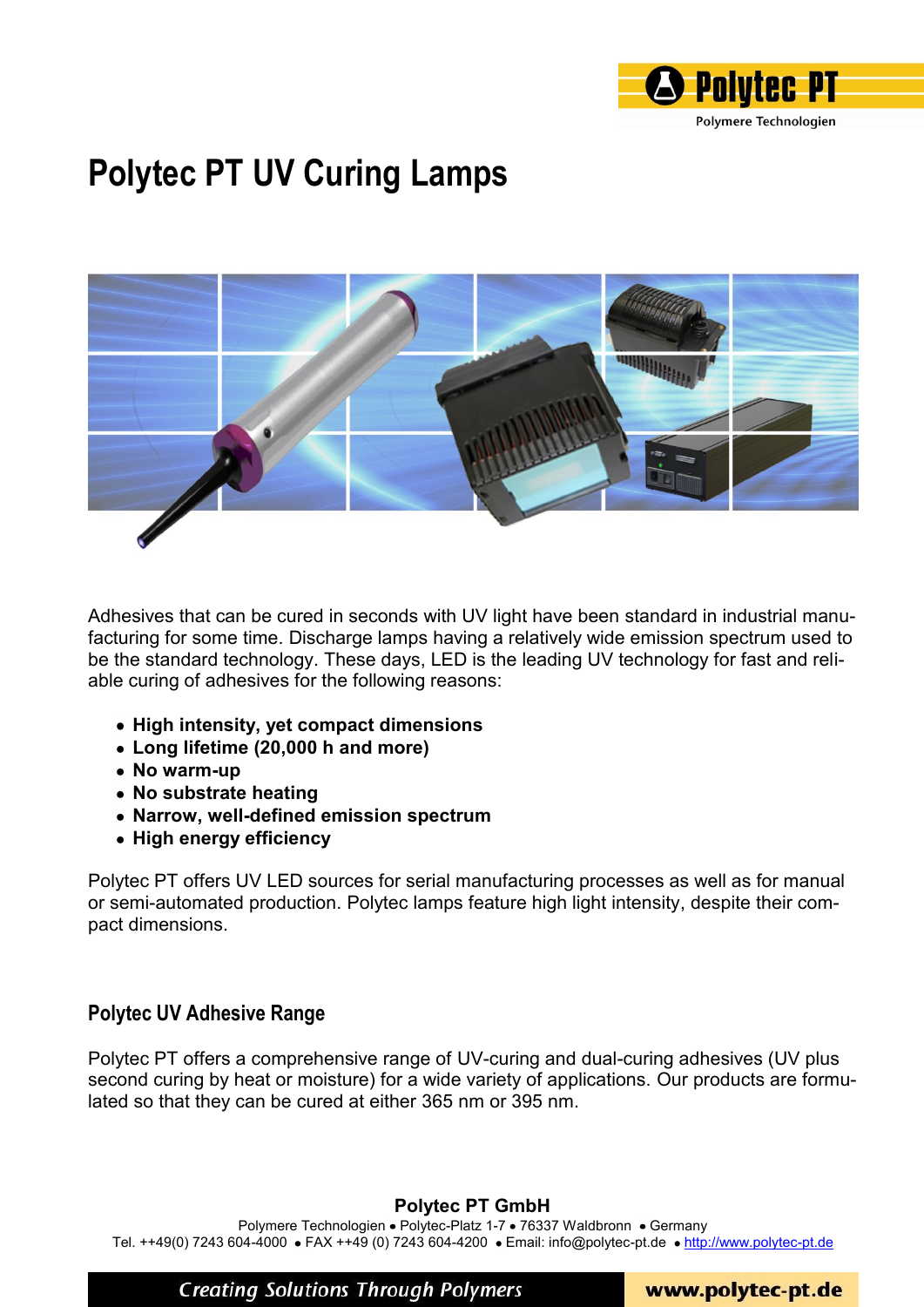

# **Polytec PT UV Curing Lamps**



Adhesives that can be cured in seconds with UV light have been standard in industrial manufacturing for some time. Discharge lamps having a relatively wide emission spectrum used to be the standard technology. These days, LED is the leading UV technology for fast and reliable curing of adhesives for the following reasons:

- **High intensity, yet compact dimensions**
- **Long lifetime (20,000 h and more)**
- **No warm-up**
- **No substrate heating**
- **Narrow, well-defined emission spectrum**
- **High energy efficiency**

Polytec PT offers UV LED sources for serial manufacturing processes as well as for manual or semi-automated production. Polytec lamps feature high light intensity, despite their compact dimensions.

#### **Polytec UV Adhesive Range**

Polytec PT offers a comprehensive range of UV-curing and dual-curing adhesives (UV plus second curing by heat or moisture) for a wide variety of applications. Our products are formulated so that they can be cured at either 365 nm or 395 nm.

#### **Polytec PT GmbH**

Polymere Technologien • Polytec-Platz 1-7 • 76337 Waldbronn • Germany Tel. ++49(0) 7243 604-4000 • FAX ++49 (0) 7243 604-4200 • Email: info@polytec-pt.de • http://www.polytec-pt.de

**Creating Solutions Through Polymers** 

www.polytec-pt.de